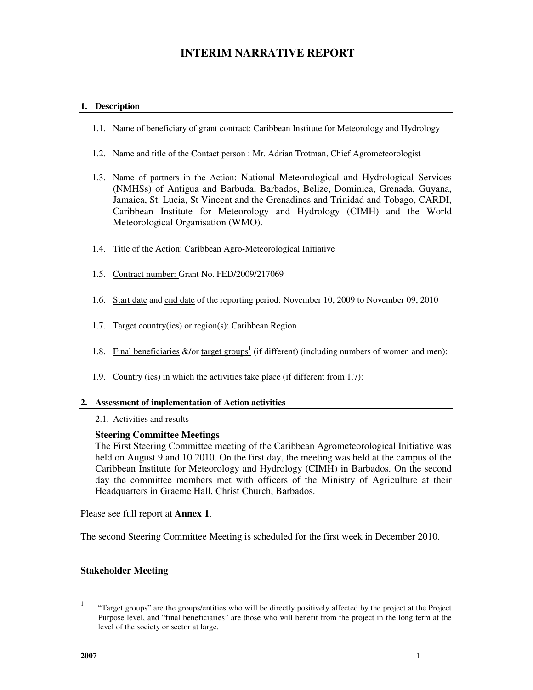# **INTERIM NARRATIVE REPORT**

# **1. Description**

- 1.1. Name of beneficiary of grant contract: Caribbean Institute for Meteorology and Hydrology
- 1.2. Name and title of the Contact person : Mr. Adrian Trotman, Chief Agrometeorologist
- 1.3. Name of partners in the Action: National Meteorological and Hydrological Services (NMHSs) of Antigua and Barbuda, Barbados, Belize, Dominica, Grenada, Guyana, Jamaica, St. Lucia, St Vincent and the Grenadines and Trinidad and Tobago, CARDI, Caribbean Institute for Meteorology and Hydrology (CIMH) and the World Meteorological Organisation (WMO).
- 1.4. Title of the Action: Caribbean Agro-Meteorological Initiative
- 1.5. Contract number: Grant No. FED/2009/217069
- 1.6. Start date and end date of the reporting period: November 10, 2009 to November 09, 2010
- 1.7. Target country(ies) or region(s): Caribbean Region
- 1.8. Final beneficiaries  $\&$ /or target groups<sup>1</sup> (if different) (including numbers of women and men):
- 1.9. Country (ies) in which the activities take place (if different from 1.7):

#### **2. Assessment of implementation of Action activities**

#### 2.1. Activities and results

# **Steering Committee Meetings**

The First Steering Committee meeting of the Caribbean Agrometeorological Initiative was held on August 9 and 10 2010. On the first day, the meeting was held at the campus of the Caribbean Institute for Meteorology and Hydrology (CIMH) in Barbados. On the second day the committee members met with officers of the Ministry of Agriculture at their Headquarters in Graeme Hall, Christ Church, Barbados.

Please see full report at **Annex 1**.

The second Steering Committee Meeting is scheduled for the first week in December 2010.

# **Stakeholder Meeting**

 $\frac{1}{1}$  "Target groups" are the groups/entities who will be directly positively affected by the project at the Project Purpose level, and "final beneficiaries" are those who will benefit from the project in the long term at the level of the society or sector at large.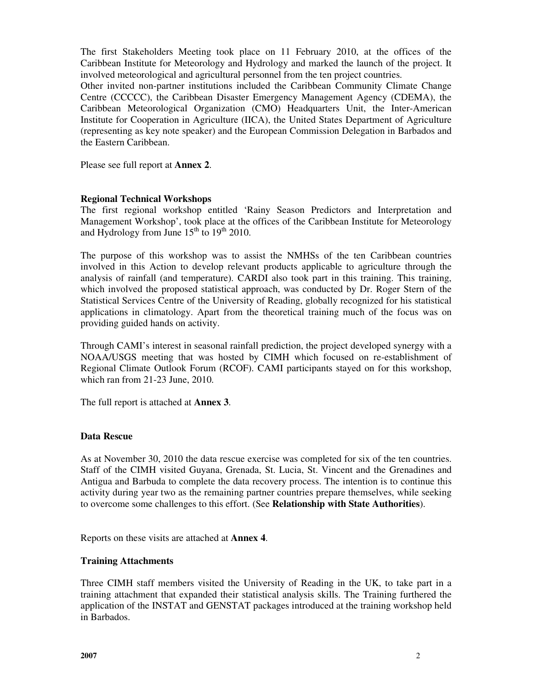The first Stakeholders Meeting took place on 11 February 2010, at the offices of the Caribbean Institute for Meteorology and Hydrology and marked the launch of the project. It involved meteorological and agricultural personnel from the ten project countries.

Other invited non-partner institutions included the Caribbean Community Climate Change Centre (CCCCC), the Caribbean Disaster Emergency Management Agency (CDEMA), the Caribbean Meteorological Organization (CMO) Headquarters Unit, the Inter-American Institute for Cooperation in Agriculture (IICA), the United States Department of Agriculture (representing as key note speaker) and the European Commission Delegation in Barbados and the Eastern Caribbean.

Please see full report at **Annex 2**.

# **Regional Technical Workshops**

The first regional workshop entitled 'Rainy Season Predictors and Interpretation and Management Workshop', took place at the offices of the Caribbean Institute for Meteorology and Hydrology from June  $15^{th}$  to  $19^{th}$  2010.

The purpose of this workshop was to assist the NMHSs of the ten Caribbean countries involved in this Action to develop relevant products applicable to agriculture through the analysis of rainfall (and temperature). CARDI also took part in this training. This training, which involved the proposed statistical approach, was conducted by Dr. Roger Stern of the Statistical Services Centre of the University of Reading, globally recognized for his statistical applications in climatology. Apart from the theoretical training much of the focus was on providing guided hands on activity.

Through CAMI's interest in seasonal rainfall prediction, the project developed synergy with a NOAA/USGS meeting that was hosted by CIMH which focused on re-establishment of Regional Climate Outlook Forum (RCOF). CAMI participants stayed on for this workshop, which ran from 21-23 June, 2010.

The full report is attached at **Annex 3**.

# **Data Rescue**

As at November 30, 2010 the data rescue exercise was completed for six of the ten countries. Staff of the CIMH visited Guyana, Grenada, St. Lucia, St. Vincent and the Grenadines and Antigua and Barbuda to complete the data recovery process. The intention is to continue this activity during year two as the remaining partner countries prepare themselves, while seeking to overcome some challenges to this effort. (See **Relationship with State Authorities**).

Reports on these visits are attached at **Annex 4**.

# **Training Attachments**

Three CIMH staff members visited the University of Reading in the UK, to take part in a training attachment that expanded their statistical analysis skills. The Training furthered the application of the INSTAT and GENSTAT packages introduced at the training workshop held in Barbados.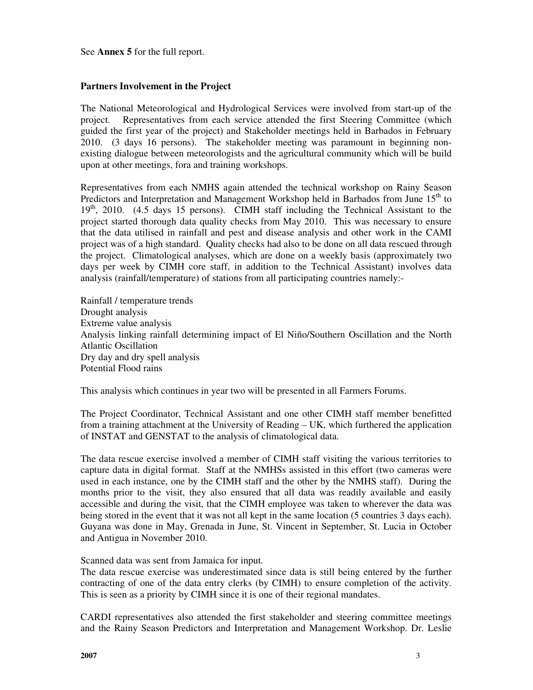See **Annex 5** for the full report.

# **Partners Involvement in the Project**

The National Meteorological and Hydrological Services were involved from start-up of the project. Representatives from each service attended the first Steering Committee (which guided the first year of the project) and Stakeholder meetings held in Barbados in February 2010. (3 days 16 persons). The stakeholder meeting was paramount in beginning nonexisting dialogue between meteorologists and the agricultural community which will be build upon at other meetings, fora and training workshops.

Representatives from each NMHS again attended the technical workshop on Rainy Season Predictors and Interpretation and Management Workshop held in Barbados from June 15<sup>th</sup> to  $19<sup>th</sup>$ , 2010. (4.5 days 15 persons). CIMH staff including the Technical Assistant to the project started thorough data quality checks from May 2010. This was necessary to ensure that the data utilised in rainfall and pest and disease analysis and other work in the CAMI project was of a high standard. Quality checks had also to be done on all data rescued through the project. Climatological analyses, which are done on a weekly basis (approximately two days per week by CIMH core staff, in addition to the Technical Assistant) involves data analysis (rainfall/temperature) of stations from all participating countries namely:-

Rainfall / temperature trends Drought analysis Extreme value analysis Analysis linking rainfall determining impact of El Niño/Southern Oscillation and the North Atlantic Oscillation Dry day and dry spell analysis Potential Flood rains

This analysis which continues in year two will be presented in all Farmers Forums.

The Project Coordinator, Technical Assistant and one other CIMH staff member benefitted from a training attachment at the University of Reading – UK, which furthered the application of INSTAT and GENSTAT to the analysis of climatological data.

The data rescue exercise involved a member of CIMH staff visiting the various territories to capture data in digital format. Staff at the NMHSs assisted in this effort (two cameras were used in each instance, one by the CIMH staff and the other by the NMHS staff). During the months prior to the visit, they also ensured that all data was readily available and easily accessible and during the visit, that the CIMH employee was taken to wherever the data was being stored in the event that it was not all kept in the same location (5 countries 3 days each). Guyana was done in May, Grenada in June, St. Vincent in September, St. Lucia in October and Antigua in November 2010.

Scanned data was sent from Jamaica for input.

The data rescue exercise was underestimated since data is still being entered by the further contracting of one of the data entry clerks (by CIMH) to ensure completion of the activity. This is seen as a priority by CIMH since it is one of their regional mandates.

CARDI representatives also attended the first stakeholder and steering committee meetings and the Rainy Season Predictors and Interpretation and Management Workshop. Dr. Leslie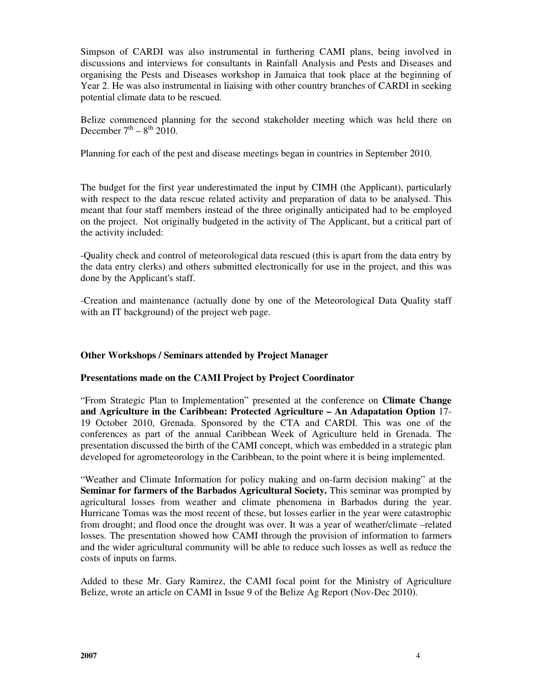Simpson of CARDI was also instrumental in furthering CAMI plans, being involved in discussions and interviews for consultants in Rainfall Analysis and Pests and Diseases and organising the Pests and Diseases workshop in Jamaica that took place at the beginning of Year 2. He was also instrumental in liaising with other country branches of CARDI in seeking potential climate data to be rescued.

Belize commenced planning for the second stakeholder meeting which was held there on December  $7^{th} - 8^{th}$  2010.

Planning for each of the pest and disease meetings began in countries in September 2010.

The budget for the first year underestimated the input by CIMH (the Applicant), particularly with respect to the data rescue related activity and preparation of data to be analysed. This meant that four staff members instead of the three originally anticipated had to be employed on the project. Not originally budgeted in the activity of The Applicant, but a critical part of the activity included:

-Quality check and control of meteorological data rescued (this is apart from the data entry by the data entry clerks) and others submitted electronically for use in the project, and this was done by the Applicant's staff.

-Creation and maintenance (actually done by one of the Meteorological Data Quality staff with an IT background) of the project web page.

# **Other Workshops / Seminars attended by Project Manager**

# **Presentations made on the CAMI Project by Project Coordinator**

"From Strategic Plan to Implementation" presented at the conference on **Climate Change and Agriculture in the Caribbean: Protected Agriculture – An Adapatation Option** 17- 19 October 2010, Grenada. Sponsored by the CTA and CARDI. This was one of the conferences as part of the annual Caribbean Week of Agriculture held in Grenada. The presentation discussed the birth of the CAMI concept, which was embedded in a strategic plan developed for agrometeorology in the Caribbean, to the point where it is being implemented.

"Weather and Climate Information for policy making and on-farm decision making" at the **Seminar for farmers of the Barbados Agricultural Society.** This seminar was prompted by agricultural losses from weather and climate phenomena in Barbados during the year. Hurricane Tomas was the most recent of these, but losses earlier in the year were catastrophic from drought; and flood once the drought was over. It was a year of weather/climate –related losses. The presentation showed how CAMI through the provision of information to farmers and the wider agricultural community will be able to reduce such losses as well as reduce the costs of inputs on farms.

Added to these Mr. Gary Ramirez, the CAMI focal point for the Ministry of Agriculture Belize, wrote an article on CAMI in Issue 9 of the Belize Ag Report (Nov-Dec 2010).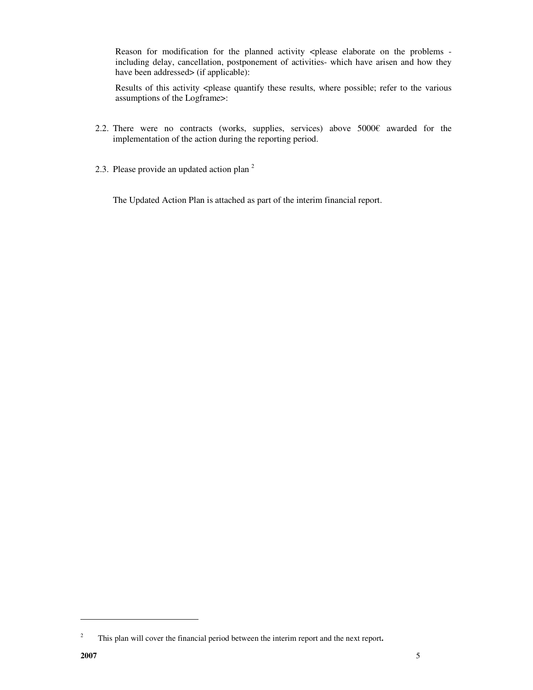Reason for modification for the planned activity <please elaborate on the problems including delay, cancellation, postponement of activities- which have arisen and how they have been addressed> (if applicable):

Results of this activity <please quantify these results, where possible; refer to the various assumptions of the Logframe>:

- 2.2. There were no contracts (works, supplies, services) above 5000€ awarded for the implementation of the action during the reporting period.
- 2.3. Please provide an updated action plan  $2$

The Updated Action Plan is attached as part of the interim financial report.

 $\ddot{\phantom{a}}$ 

<sup>2</sup> This plan will cover the financial period between the interim report and the next report**.**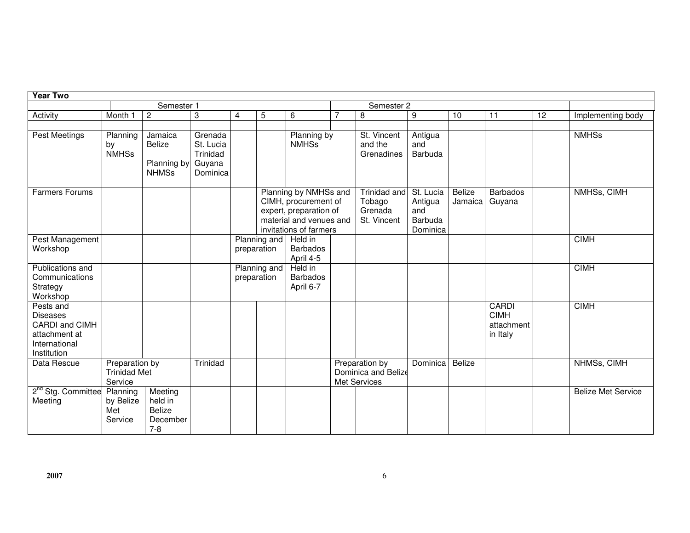| <b>Year Two</b>                                                                                 |                                                  |                                                            |                                                        |                             |                             |                                                                                                                              |                |                                                       |                                                    |                   |                                                |    |                           |
|-------------------------------------------------------------------------------------------------|--------------------------------------------------|------------------------------------------------------------|--------------------------------------------------------|-----------------------------|-----------------------------|------------------------------------------------------------------------------------------------------------------------------|----------------|-------------------------------------------------------|----------------------------------------------------|-------------------|------------------------------------------------|----|---------------------------|
|                                                                                                 |                                                  | Semester 1                                                 |                                                        |                             |                             |                                                                                                                              | Semester 2     |                                                       |                                                    |                   |                                                |    |                           |
| Activity                                                                                        | Month 1                                          | $\overline{c}$                                             | 3                                                      | 4                           | 5                           | 6                                                                                                                            | $\overline{7}$ | 8                                                     | 9                                                  | 10                | 11                                             | 12 | Implementing body         |
| Pest Meetings                                                                                   | Planning<br>by<br><b>NMHSs</b>                   | Jamaica<br>Belize<br>Planning by<br><b>NHMSs</b>           | Grenada<br>St. Lucia<br>Trinidad<br>Guyana<br>Dominica |                             |                             | Planning by<br><b>NMHSs</b>                                                                                                  |                | St. Vincent<br>and the<br>Grenadines                  | Antigua<br>and<br>Barbuda                          |                   |                                                |    | <b>NMHSs</b>              |
| <b>Farmers Forums</b>                                                                           |                                                  |                                                            |                                                        |                             |                             | Planning by NMHSs and<br>CIMH, procurement of<br>expert, preparation of<br>material and venues and<br>invitations of farmers |                | Trinidad and<br>Tobago<br>Grenada<br>St. Vincent      | St. Lucia<br>Antigua<br>and<br>Barbuda<br>Dominica | Belize<br>Jamaica | <b>Barbados</b><br>Guyana                      |    | NMHSs, CIMH               |
| Pest Management<br>Workshop                                                                     |                                                  |                                                            |                                                        |                             | Planning and<br>preparation | Held in<br><b>Barbados</b><br>April 4-5                                                                                      |                |                                                       |                                                    |                   |                                                |    | <b>CIMH</b>               |
| Publications and<br>Communications<br>Strategy<br>Workshop                                      |                                                  |                                                            |                                                        | Planning and<br>preparation |                             | Held in<br><b>Barbados</b><br>April 6-7                                                                                      |                |                                                       |                                                    |                   |                                                |    | <b>CIMH</b>               |
| Pests and<br><b>Diseases</b><br>CARDI and CIMH<br>attachment at<br>International<br>Institution |                                                  |                                                            |                                                        |                             |                             |                                                                                                                              |                |                                                       |                                                    |                   | CARDI<br><b>CIMH</b><br>attachment<br>in Italy |    | <b>CIMH</b>               |
| Data Rescue                                                                                     | Preparation by<br><b>Trinidad Met</b><br>Service |                                                            | Trinidad                                               |                             |                             |                                                                                                                              |                | Preparation by<br>Dominica and Belize<br>Met Services | Dominica                                           | Belize            |                                                |    | NHMSs, CIMH               |
| 2 <sup>nd</sup> Stg. Committee<br>Meeting                                                       | Planning<br>by Belize<br>Met<br>Service          | Meeting<br>held in<br><b>Belize</b><br>December<br>$7 - 8$ |                                                        |                             |                             |                                                                                                                              |                |                                                       |                                                    |                   |                                                |    | <b>Belize Met Service</b> |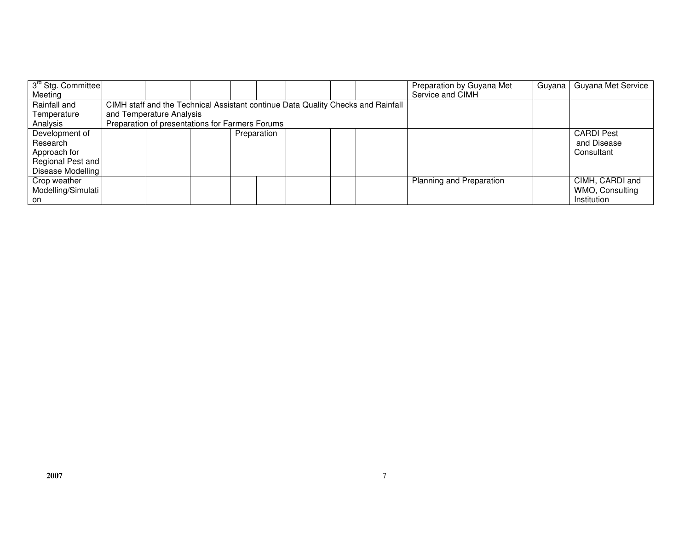| 3 <sup>rd</sup> Stg. Committee |                                                 |                                                                                  |  |  |             |  |  |  | Preparation by Guyana Met | Guvana I | Guyana Met Service |
|--------------------------------|-------------------------------------------------|----------------------------------------------------------------------------------|--|--|-------------|--|--|--|---------------------------|----------|--------------------|
| Meeting                        |                                                 |                                                                                  |  |  |             |  |  |  | Service and CIMH          |          |                    |
| Rainfall and                   |                                                 | CIMH staff and the Technical Assistant continue Data Quality Checks and Rainfall |  |  |             |  |  |  |                           |          |                    |
| Temperature                    | and Temperature Analysis                        |                                                                                  |  |  |             |  |  |  |                           |          |                    |
| Analysis                       | Preparation of presentations for Farmers Forums |                                                                                  |  |  |             |  |  |  |                           |          |                    |
| Development of                 |                                                 |                                                                                  |  |  | Preparation |  |  |  |                           |          | <b>CARDI Pest</b>  |
| Research                       |                                                 |                                                                                  |  |  |             |  |  |  |                           |          | and Disease        |
| Approach for                   |                                                 |                                                                                  |  |  |             |  |  |  |                           |          | Consultant         |
| Regional Pest and              |                                                 |                                                                                  |  |  |             |  |  |  |                           |          |                    |
| Disease Modelling              |                                                 |                                                                                  |  |  |             |  |  |  |                           |          |                    |
| Crop weather                   |                                                 |                                                                                  |  |  |             |  |  |  | Planning and Preparation  |          | CIMH, CARDI and    |
| Modelling/Simulati             |                                                 |                                                                                  |  |  |             |  |  |  |                           |          | WMO, Consulting    |
| on.                            |                                                 |                                                                                  |  |  |             |  |  |  |                           |          | Institution        |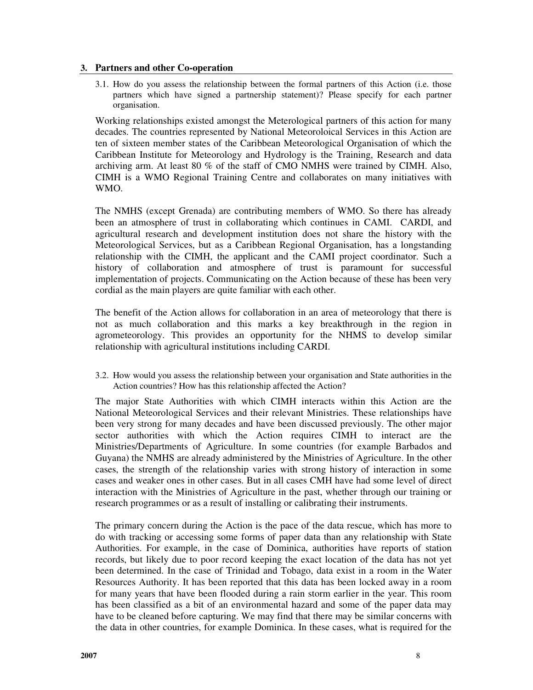### **3. Partners and other Co-operation**

3.1. How do you assess the relationship between the formal partners of this Action (i.e. those partners which have signed a partnership statement)? Please specify for each partner organisation.

Working relationships existed amongst the Meterological partners of this action for many decades. The countries represented by National Meteoroloical Services in this Action are ten of sixteen member states of the Caribbean Meteorological Organisation of which the Caribbean Institute for Meteorology and Hydrology is the Training, Research and data archiving arm. At least 80 % of the staff of CMO NMHS were trained by CIMH. Also, CIMH is a WMO Regional Training Centre and collaborates on many initiatives with WMO.

The NMHS (except Grenada) are contributing members of WMO. So there has already been an atmosphere of trust in collaborating which continues in CAMI. CARDI, and agricultural research and development institution does not share the history with the Meteorological Services, but as a Caribbean Regional Organisation, has a longstanding relationship with the CIMH, the applicant and the CAMI project coordinator. Such a history of collaboration and atmosphere of trust is paramount for successful implementation of projects. Communicating on the Action because of these has been very cordial as the main players are quite familiar with each other.

The benefit of the Action allows for collaboration in an area of meteorology that there is not as much collaboration and this marks a key breakthrough in the region in agrometeorology. This provides an opportunity for the NHMS to develop similar relationship with agricultural institutions including CARDI.

3.2. How would you assess the relationship between your organisation and State authorities in the Action countries? How has this relationship affected the Action?

The major State Authorities with which CIMH interacts within this Action are the National Meteorological Services and their relevant Ministries. These relationships have been very strong for many decades and have been discussed previously. The other major sector authorities with which the Action requires CIMH to interact are the Ministries/Departments of Agriculture. In some countries (for example Barbados and Guyana) the NMHS are already administered by the Ministries of Agriculture. In the other cases, the strength of the relationship varies with strong history of interaction in some cases and weaker ones in other cases. But in all cases CMH have had some level of direct interaction with the Ministries of Agriculture in the past, whether through our training or research programmes or as a result of installing or calibrating their instruments.

The primary concern during the Action is the pace of the data rescue, which has more to do with tracking or accessing some forms of paper data than any relationship with State Authorities. For example, in the case of Dominica, authorities have reports of station records, but likely due to poor record keeping the exact location of the data has not yet been determined. In the case of Trinidad and Tobago, data exist in a room in the Water Resources Authority. It has been reported that this data has been locked away in a room for many years that have been flooded during a rain storm earlier in the year. This room has been classified as a bit of an environmental hazard and some of the paper data may have to be cleaned before capturing. We may find that there may be similar concerns with the data in other countries, for example Dominica. In these cases, what is required for the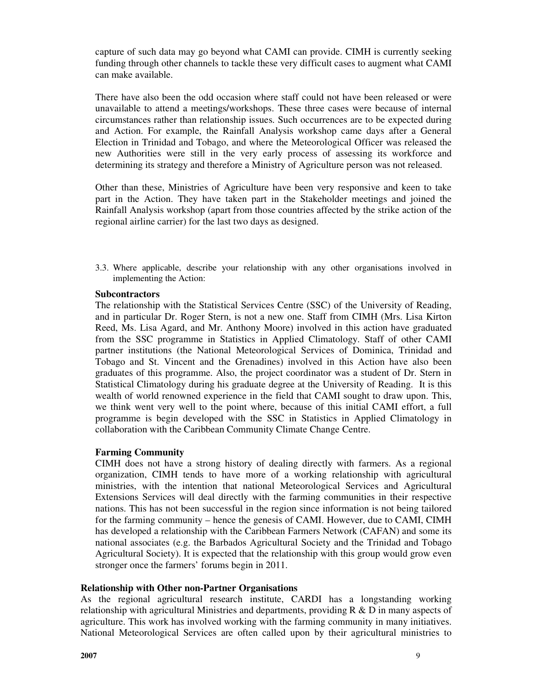capture of such data may go beyond what CAMI can provide. CIMH is currently seeking funding through other channels to tackle these very difficult cases to augment what CAMI can make available.

There have also been the odd occasion where staff could not have been released or were unavailable to attend a meetings/workshops. These three cases were because of internal circumstances rather than relationship issues. Such occurrences are to be expected during and Action. For example, the Rainfall Analysis workshop came days after a General Election in Trinidad and Tobago, and where the Meteorological Officer was released the new Authorities were still in the very early process of assessing its workforce and determining its strategy and therefore a Ministry of Agriculture person was not released.

Other than these, Ministries of Agriculture have been very responsive and keen to take part in the Action. They have taken part in the Stakeholder meetings and joined the Rainfall Analysis workshop (apart from those countries affected by the strike action of the regional airline carrier) for the last two days as designed.

3.3. Where applicable, describe your relationship with any other organisations involved in implementing the Action:

# **Subcontractors**

The relationship with the Statistical Services Centre (SSC) of the University of Reading, and in particular Dr. Roger Stern, is not a new one. Staff from CIMH (Mrs. Lisa Kirton Reed, Ms. Lisa Agard, and Mr. Anthony Moore) involved in this action have graduated from the SSC programme in Statistics in Applied Climatology. Staff of other CAMI partner institutions (the National Meteorological Services of Dominica, Trinidad and Tobago and St. Vincent and the Grenadines) involved in this Action have also been graduates of this programme. Also, the project coordinator was a student of Dr. Stern in Statistical Climatology during his graduate degree at the University of Reading. It is this wealth of world renowned experience in the field that CAMI sought to draw upon. This, we think went very well to the point where, because of this initial CAMI effort, a full programme is begin developed with the SSC in Statistics in Applied Climatology in collaboration with the Caribbean Community Climate Change Centre.

# **Farming Community**

CIMH does not have a strong history of dealing directly with farmers. As a regional organization, CIMH tends to have more of a working relationship with agricultural ministries, with the intention that national Meteorological Services and Agricultural Extensions Services will deal directly with the farming communities in their respective nations. This has not been successful in the region since information is not being tailored for the farming community – hence the genesis of CAMI. However, due to CAMI, CIMH has developed a relationship with the Caribbean Farmers Network (CAFAN) and some its national associates (e.g. the Barbados Agricultural Society and the Trinidad and Tobago Agricultural Society). It is expected that the relationship with this group would grow even stronger once the farmers' forums begin in 2011.

#### **Relationship with Other non-Partner Organisations**

As the regional agricultural research institute, CARDI has a longstanding working relationship with agricultural Ministries and departments, providing  $R \& D$  in many aspects of agriculture. This work has involved working with the farming community in many initiatives. National Meteorological Services are often called upon by their agricultural ministries to